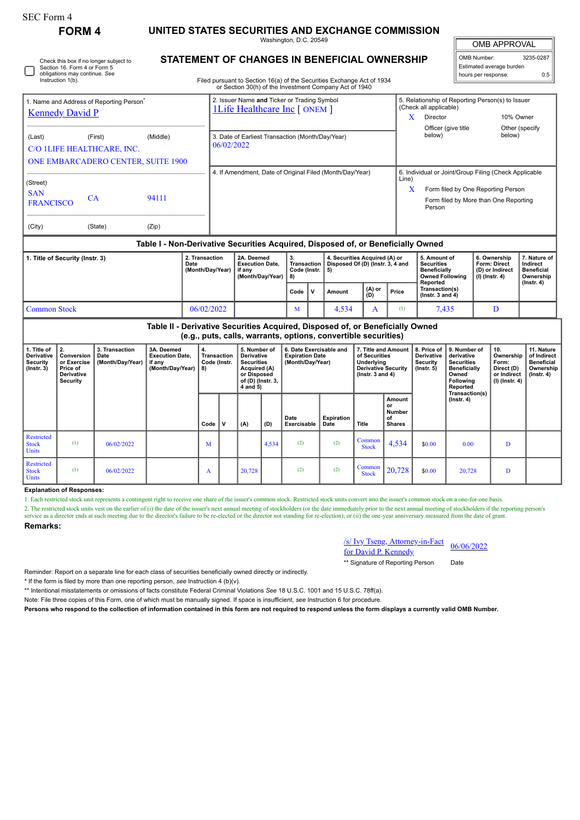| SEC Form 4    |                                                                            |
|---------------|----------------------------------------------------------------------------|
| <b>FORM 4</b> | UNITED STATES SECURITIES AND EXCHANGE COMMISSION<br>Washington, D.C. 20549 |

# **STATEMENT OF CHANGES IN BENEFICIAL OWNERSHIP**

Filed pursuant to Section 16(a) of the Securities Exchange Act of 1934

|                                                                                  |                                  |                                    | or Section 30(h) of the Investment Company Act of 1940                              |        |                                                                            |                 |  |  |
|----------------------------------------------------------------------------------|----------------------------------|------------------------------------|-------------------------------------------------------------------------------------|--------|----------------------------------------------------------------------------|-----------------|--|--|
| 1. Name and Address of Reporting Person <sup>®</sup>                             |                                  |                                    | 2. Issuer Name and Ticker or Trading Symbol<br><b>1Life Healthcare Inc [ ONEM ]</b> |        | 5. Relationship of Reporting Person(s) to Issuer<br>(Check all applicable) |                 |  |  |
| <b>Kennedy David P</b>                                                           |                                  |                                    |                                                                                     | x      | Director                                                                   | 10% Owner       |  |  |
|                                                                                  |                                  |                                    |                                                                                     |        | Officer (give title                                                        | Other (specify) |  |  |
| (Last)                                                                           | (First)                          | (Middle)                           | 3. Date of Earliest Transaction (Month/Day/Year)                                    | below) |                                                                            | below)          |  |  |
| C/O 1LIFE HEALTHCARE, INC.                                                       |                                  |                                    | 06/02/2022                                                                          |        |                                                                            |                 |  |  |
|                                                                                  |                                  | ONE EMBARCADERO CENTER, SUITE 1900 |                                                                                     |        |                                                                            |                 |  |  |
| (Street)                                                                         |                                  |                                    | 4. If Amendment, Date of Original Filed (Month/Day/Year)                            | Line)  | 6. Individual or Joint/Group Filing (Check Applicable                      |                 |  |  |
|                                                                                  | <b>SAN</b><br>94111<br><b>CA</b> |                                    |                                                                                     | X      | Form filed by One Reporting Person                                         |                 |  |  |
| <b>FRANCISCO</b>                                                                 |                                  |                                    |                                                                                     |        | Form filed by More than One Reporting<br>Person                            |                 |  |  |
| (City)                                                                           | (State)                          | (Zip)                              |                                                                                     |        |                                                                            |                 |  |  |
| Table I - Non-Derivative Securities Acquired, Disposed of, or Beneficially Owned |                                  |                                    |                                                                                     |        |                                                                            |                 |  |  |

### **Table I - Non-Derivative Securities Acquired, Disposed of, or Beneficially Owned**

| 1. Title of Security (Instr. 3) | 2. Transaction<br>Date<br>(Month/Day/Year) | 2A. Deemed<br><b>Execution Date.</b><br>if anv<br>(Month/Dav/Year) | Code (Instr.   5)<br>1 R) |    | 4. Securities Acquired (A) or<br>Transaction   Disposed Of (D) (Instr. 3, 4 and |                                |       | 5. Amount of<br><b>Securities</b><br><b>Beneficially</b><br><b>Owned Following</b><br>Reported | 6. Ownership<br>Form: Direct<br>(D) or Indirect<br>(I) (Instr. 4) | 7. Nature of<br>Indirect<br>Beneficial<br>Ownership<br>(Instr. 4) |
|---------------------------------|--------------------------------------------|--------------------------------------------------------------------|---------------------------|----|---------------------------------------------------------------------------------|--------------------------------|-------|------------------------------------------------------------------------------------------------|-------------------------------------------------------------------|-------------------------------------------------------------------|
|                                 |                                            |                                                                    | Code                      | ΙV | Amount                                                                          | $\binom{(A) \text{ or }}{(D)}$ | Price | Transaction(s)<br>$($ lnstr. 3 and 4 $)$                                                       |                                                                   |                                                                   |
| Common Stock                    | 06/02/2022                                 |                                                                    | M                         |    | 4.534                                                                           |                                | T     | 7.435                                                                                          | D                                                                 |                                                                   |

#### **Table II - Derivative Securities Acquired, Disposed of, or Beneficially Owned (e.g., puts, calls, warrants, options, convertible securities) 1. Title of Derivative Security (Instr. 3) 2. Conversion or Exercise Price of Derivative Security 3. Transaction Date (Month/Day/Year) 3A. Deemed Execution Date, if any (Month/Day/Year) 4. Transaction Code (Instr. 8) 5. Number of Derivative Securities Acquired (A) or Disposed of (D) (Instr. 3, 4 and 5) 6. Date Exercisable and Expiration Date (Month/Day/Year) 7. Title and Amount of Securities Underlying Derivative Security (Instr. 3 and 4) 8. Price of Derivative Security (Instr. 5) 9. Number of derivative Securities Beneficially Owned Following Reported Transaction(s) (Instr. 4) 10. Ownership Form: Direct (D) or Indirect (I) (Instr. 4) 11. Nature of Indirect Beneficial Ownership (Instr. 4)**  $Code \n\begin{bmatrix} \nV & \n\end{bmatrix} (A) \n\begin{bmatrix} \nD \n\end{bmatrix}$ **Date Exercisable Expiration Date Title Amount or Number of Shares** Restricted Stock Units (1)  $0.6/02/2022$  M 4,534 (2) (2) Common  $\begin{array}{|c|c|c|c|c|c|c|c|} \hline \text{ommon} & 4,534 & \text{$\$0.00} & 0.00 & \text{D} \end{array}$ **Restricted** Stock Units (1)  $0.6/02/2022$  A  $20,728$  (2)  $\circ$  Common Common  $\begin{array}{|c|c|c|c|c|c|c|c|c|} \hline \text{Common} & 20,728 & \text{ } & 20,728 & \text{ } & \text{ } & \text{ } \text{.} \ \hline \text{Stock} & 20,728 & & \text{ } & \text{ } & \text{.} \ \hline \end{array}$

### **Explanation of Responses:**

Check this box if no longer subject to Section 16. Form 4 or Form 5 obligations may continue. *See* Instruction 1(b).

1. Each restricted stock unit represents a contingent right to receive one share of the issuer's common stock. Restricted stock units convert into the issuer's common stock on a one-for-one basis.

2. The restricted stock units vest on the earlier of (i) the date of the issuer's next annual meeting of stockholders (or the date immediately prior to the next annual meeting of stockholders if the reporting person's service as a director ends at such meeting due to the director's failure to be re-elected or the director not standing for re-election); or (ii) the one-year anniversary measured from the date of grant

## **Remarks:**

/s/ Ivy Tseng, Attorney-in-Fact  $\frac{f(S)}{f(S)}$  Ty 1seng, Attorney-In-Fact  $\frac{06}{06/2022}$ 

\*\* Signature of Reporting Person Date

Reminder: Report on a separate line for each class of securities beneficially owned directly or indirectly.

\* If the form is filed by more than one reporting person, *see* Instruction 4 (b)(v).

\*\* Intentional misstatements or omissions of facts constitute Federal Criminal Violations *See* 18 U.S.C. 1001 and 15 U.S.C. 78ff(a).

Note: File three copies of this Form, one of which must be manually signed. If space is insufficient, *see* Instruction 6 for procedure.

**Persons who respond to the collection of information contained in this form are not required to respond unless the form displays a currently valid OMB Number.**

OMB APPROVAL

| OMB Number:<br>3235-0287 |     |  |  |  |
|--------------------------|-----|--|--|--|
| Estimated average burden |     |  |  |  |
| hours per response:      | 0.5 |  |  |  |